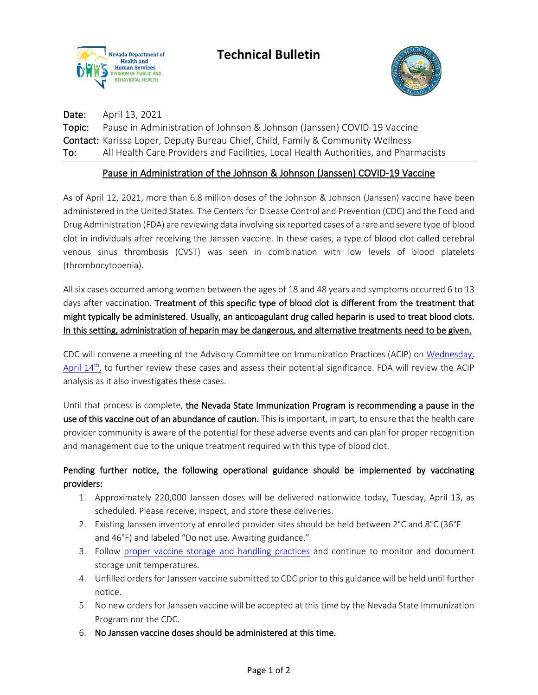



Date: April 13, 2021 Topic: Pause in Administration of Johnson & Johnson (Janssen) COVID-19 Vaccine Contact: Karissa Loper, Deputy Bureau Chief, Child, Family & Community Wellness To: All Health Care Providers and Facilities, Local Health Authorities, and Pharmacists

## Pause in Administration of the Johnson & Johnson (Janssen) COVID-19 Vaccine

As of April 12, 2021, more than 6.8 million doses of the Johnson & Johnson (Janssen) vaccine have been administered in the United States. The Centers for Disease Control and Prevention (CDC) and the Food and Drug Administration (FDA) are reviewing data involving six reported cases of a rare and severe type of blood clot in individuals after receiving the Janssen vaccine. In these cases, a type of blood clot called cerebral venous sinus thrombosis (CVST) was seen in combination with low levels of blood platelets (thrombocytopenia).

All six cases occurred among women between the ages of 18 and 48 years and symptoms occurred 6 to 13 days after vaccination. Treatment of this specific type of blood clot is different from the treatment that might typically be administered. Usually, an anticoagulant drug called heparin is used to treat blood clots. In this setting, administration of heparin may be dangerous, and alternative treatments need to be given.

CDC will convene a meeting of the Advisory Committee on Immunization Practices (ACIP) on [Wednesday,](https://www.cdc.gov/vaccines/acip/index.html?ACSTrackingID=USCDC_11_8-DM52366&ACSTrackingLabel=Emergency%20ACIP%20meeting%20April%2014&deliveryName=USCDC_11_8-DM52366)  April  $14<sup>th</sup>$ , to further review these cases and assess their potential significance. FDA will review the ACIP analysis as it also investigates these cases.

Until that process is complete, the Nevada State Immunization Program is recommending a pause in the use of this vaccine out of an abundance of caution. This is important, in part, to ensure that the health care provider community is aware of the potential for these adverse events and can plan for proper recognition and management due to the unique treatment required with this type of blood clot.

## Pending further notice, the following operational guidance should be implemented by vaccinating providers:

- 1. Approximately 220,000 Janssen doses will be delivered nationwide today, Tuesday, April 13, as scheduled. Please receive, inspect, and store these deliveries.
- 2. Existing Janssen inventory at enrolled provider sites should be held between 2°C and 8°C (36°F and 46°F) and labeled "Do not use. Awaiting guidance."
- 3. Follow [proper vaccine storage and handling practices](https://www.cdc.gov/vaccines/covid-19/info-by-product/janssen/downloads/janssen-storage-handling-summary.pdf) and continue to monitor and document storage unit temperatures.
- 4. Unfilled orders for Janssen vaccine submitted to CDC prior to this guidance will be held until further notice.
- 5. No new orders for Janssen vaccine will be accepted at this time by the Nevada State Immunization Program nor the CDC.
- 6. No Janssen vaccine doses should be administered at this time.